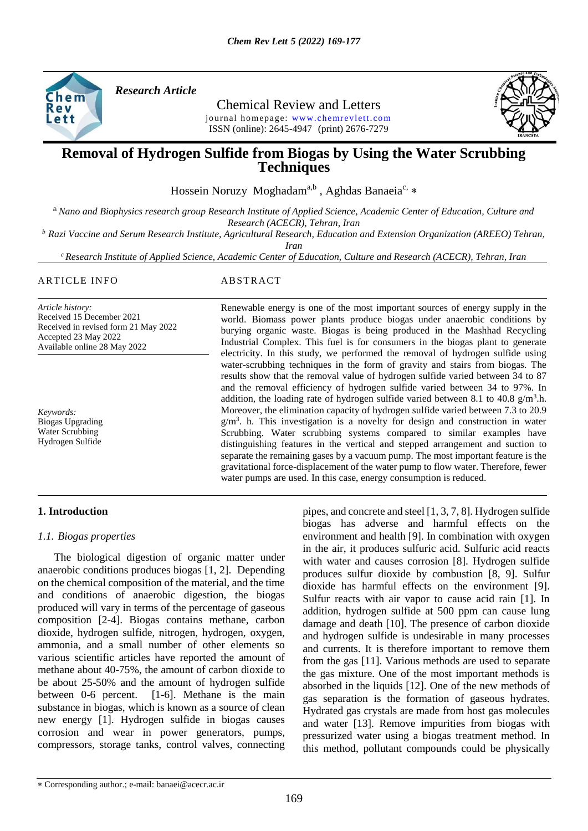

*Research Article* 

Chemical Review and Letters journal homepage: www.chemrevlett.com ISSN (online): 2645-4947(print) 2676-7279



# **Removal of Hydrogen Sulfide from Biogas by Using the Water Scrubbing Techniques**

Hossein Noruzy Moghadam<sup>a,b</sup>, Aghdas Banaeia<sup>c, \*</sup>

<sup>a</sup> *Nano and Biophysics research group Research Institute of Applied Science, Academic Center of Education, Culture and Research (ACECR), Tehran, Iran*

*<sup>b</sup> Razi Vaccine and Serum Research Institute, Agricultural Research, Education and Extension Organization (AREEO) Tehran,* 

*Iran*

*<sup>c</sup> Research Institute of Applied Science, Academic Center of Education, Culture and Research (ACECR), Tehran, Iran*

#### ARTICLE INFO ABSTRACT

*Article history:* Received 15 December 2021 Received in revised form 21 May 2022 Accepted 23 May 2022 Available online 28 May 2022

*Keywords:* Biogas Upgrading Water Scrubbing Hydrogen Sulfide

Renewable energy is one of the most important sources of energy supply in the world. Biomass power plants produce biogas under anaerobic conditions by burying organic waste. Biogas is being produced in the Mashhad Recycling Industrial Complex. This fuel is for consumers in the biogas plant to generate electricity. In this study, we performed the removal of hydrogen sulfide using water-scrubbing techniques in the form of gravity and stairs from biogas. The results show that the removal value of hydrogen sulfide varied between 34 to 87 and the removal efficiency of hydrogen sulfide varied between 34 to 97%. In addition, the loading rate of hydrogen sulfide varied between 8.1 to 40.8  $g/m<sup>3</sup>$ .h. Moreover, the elimination capacity of hydrogen sulfide varied between 7.3 to 20.9 g/m<sup>3</sup>. h. This investigation is a novelty for design and construction in water Scrubbing. Water scrubbing systems compared to similar examples have distinguishing features in the vertical and stepped arrangement and suction to separate the remaining gases by a vacuum pump. The most important feature is the gravitational force-displacement of the water pump to flow water. Therefore, fewer water pumps are used. In this case, energy consumption is reduced.

### **1. Introduction**

### *1.1. Biogas properties*

 The biological digestion of organic matter under anaerobic conditions produces biogas [1, 2]. Depending on the chemical composition of the material, and the time and conditions of anaerobic digestion, the biogas produced will vary in terms of the percentage of gaseous composition [2-4]. Biogas contains methane, carbon dioxide, hydrogen sulfide, nitrogen, hydrogen, oxygen, ammonia, and a small number of other elements so various scientific articles have reported the amount of methane about 40-75%, the amount of carbon dioxide to be about 25-50% and the amount of hydrogen sulfide between 0-6 percent. [1-6]. Methane is the main substance in biogas, which is known as a source of clean new energy [1]. Hydrogen sulfide in biogas causes corrosion and wear in power generators, pumps, compressors, storage tanks, control valves, connecting

pipes, and concrete and steel [1, 3, 7, 8]. Hydrogen sulfide biogas has adverse and harmful effects on the environment and health [9]. In combination with oxygen in the air, it produces sulfuric acid. Sulfuric acid reacts with water and causes corrosion [8]. Hydrogen sulfide produces sulfur dioxide by combustion [8, 9]. Sulfur dioxide has harmful effects on the environment [9]. Sulfur reacts with air vapor to cause acid rain [1]. In addition, hydrogen sulfide at 500 ppm can cause lung damage and death [10]. The presence of carbon dioxide and hydrogen sulfide is undesirable in many processes and currents. It is therefore important to remove them from the gas [11]. Various methods are used to separate the gas mixture. One of the most important methods is absorbed in the liquids [12]. One of the new methods of gas separation is the formation of gaseous hydrates. Hydrated gas crystals are made from host gas molecules and water [13]. Remove impurities from biogas with pressurized water using a biogas treatment method. In this method, pollutant compounds could be physically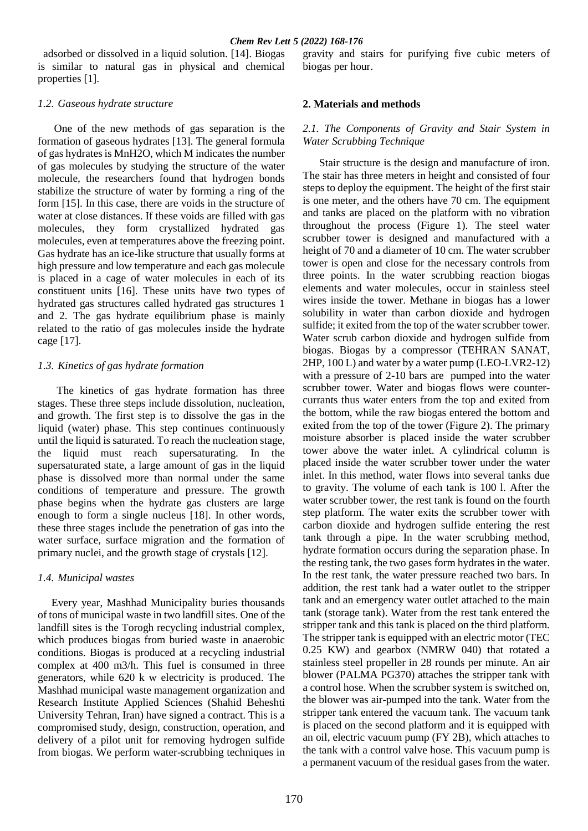adsorbed or dissolved in a liquid solution. [14]. Biogas is similar to natural gas in physical and chemical properties [1].

#### *1.2. Gaseous hydrate structure*

 One of the new methods of gas separation is the formation of gaseous hydrates [13]. The general formula of gas hydrates is MnH2O, which M indicates the number of gas molecules by studying the structure of the water molecule, the researchers found that hydrogen bonds stabilize the structure of water by forming a ring of the form [15]. In this case, there are voids in the structure of water at close distances. If these voids are filled with gas molecules, they form crystallized hydrated gas molecules, even at temperatures above the freezing point. Gas hydrate has an ice-like structure that usually forms at high pressure and low temperature and each gas molecule is placed in a cage of water molecules in each of its constituent units [16]. These units have two types of hydrated gas structures called hydrated gas structures 1 and 2. The gas hydrate equilibrium phase is mainly related to the ratio of gas molecules inside the hydrate cage [17].

### *1.3. Kinetics of gas hydrate formation*

 The kinetics of gas hydrate formation has three stages. These three steps include dissolution, nucleation, and growth. The first step is to dissolve the gas in the liquid (water) phase. This step continues continuously until the liquid is saturated. To reach the nucleation stage, the liquid must reach supersaturating. In the supersaturated state, a large amount of gas in the liquid phase is dissolved more than normal under the same conditions of temperature and pressure. The growth phase begins when the hydrate gas clusters are large enough to form a single nucleus [18]. In other words, these three stages include the penetration of gas into the water surface, surface migration and the formation of primary nuclei, and the growth stage of crystals [12].

### *1.4. Municipal wastes*

 Every year, Mashhad Municipality buries thousands of tons of municipal waste in two landfill sites. One of the landfill sites is the Torogh recycling industrial complex, which produces biogas from buried waste in anaerobic conditions. Biogas is produced at a recycling industrial complex at 400 m3/h. This fuel is consumed in three generators, while 620 k w electricity is produced. The Mashhad municipal waste management organization and Research Institute Applied Sciences (Shahid Beheshti University Tehran, Iran) have signed a contract. This is a compromised study, design, construction, operation, and delivery of a pilot unit for removing hydrogen sulfide from biogas. We perform water-scrubbing techniques in gravity and stairs for purifying five cubic meters of biogas per hour.

### **2. Materials and methods**

### *2.1. The Components of Gravity and Stair System in Water Scrubbing Technique*

 Stair structure is the design and manufacture of iron. The stair has three meters in height and consisted of four steps to deploy the equipment. The height of the first stair is one meter, and the others have 70 cm. The equipment and tanks are placed on the platform with no vibration throughout the process (Figure 1). The steel water scrubber tower is designed and manufactured with a height of 70 and a diameter of 10 cm. The water scrubber tower is open and close for the necessary controls from three points. In the water scrubbing reaction biogas elements and water molecules, occur in stainless steel wires inside the tower. Methane in biogas has a lower solubility in water than carbon dioxide and hydrogen sulfide; it exited from the top of the water scrubber tower. Water scrub carbon dioxide and hydrogen sulfide from biogas. Biogas by a compressor (TEHRAN SANAT, 2HP, 100 L) and water by a water pump (LEO-LVR2-12) with a pressure of 2-10 bars are pumped into the water scrubber tower. Water and biogas flows were countercurrants thus water enters from the top and exited from the bottom, while the raw biogas entered the bottom and exited from the top of the tower (Figure 2). The primary moisture absorber is placed inside the water scrubber tower above the water inlet. A cylindrical column is placed inside the water scrubber tower under the water inlet. In this method, water flows into several tanks due to gravity. The volume of each tank is 100 l. After the water scrubber tower, the rest tank is found on the fourth step platform. The water exits the scrubber tower with carbon dioxide and hydrogen sulfide entering the rest tank through a pipe. In the water scrubbing method, hydrate formation occurs during the separation phase. In the resting tank, the two gases form hydrates in the water. In the rest tank, the water pressure reached two bars. In addition, the rest tank had a water outlet to the stripper tank and an emergency water outlet attached to the main tank (storage tank). Water from the rest tank entered the stripper tank and this tank is placed on the third platform. The stripper tank is equipped with an electric motor (TEC 0.25 KW) and gearbox (NMRW 040) that rotated a stainless steel propeller in 28 rounds per minute. An air blower (PALMA PG370) attaches the stripper tank with a control hose. When the scrubber system is switched on, the blower was air-pumped into the tank. Water from the stripper tank entered the vacuum tank. The vacuum tank is placed on the second platform and it is equipped with an oil, electric vacuum pump (FY 2B), which attaches to the tank with a control valve hose. This vacuum pump is a permanent vacuum of the residual gases from the water.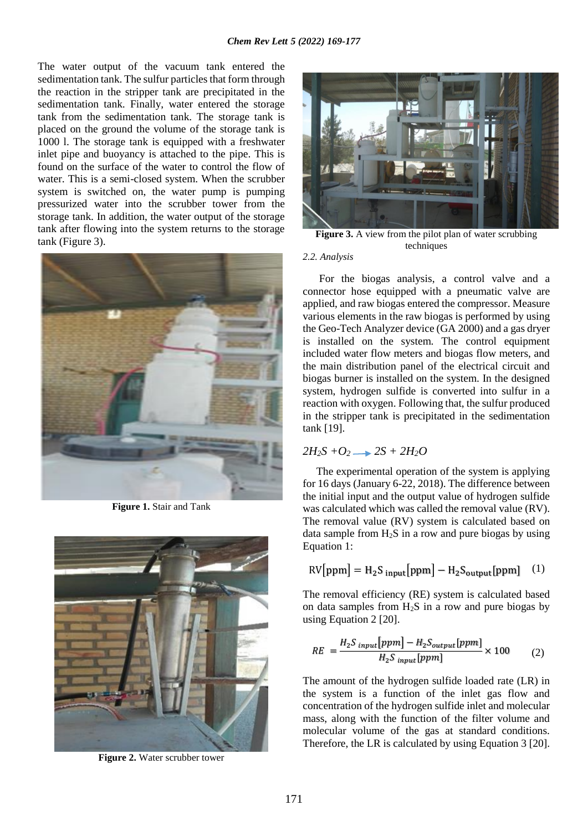The water output of the vacuum tank entered the sedimentation tank. The sulfur particles that form through the reaction in the stripper tank are precipitated in the sedimentation tank. Finally, water entered the storage tank from the sedimentation tank. The storage tank is placed on the ground the volume of the storage tank is 1000 l. The storage tank is equipped with a freshwater inlet pipe and buoyancy is attached to the pipe. This is found on the surface of the water to control the flow of water. This is a semi-closed system. When the scrubber system is switched on, the water pump is pumping pressurized water into the scrubber tower from the storage tank. In addition, the water output of the storage tank after flowing into the system returns to the storage tank (Figure 3).



**Figure 1.** Stair and Tank



**Figure 2.** Water scrubber tower



**Figure 3.** A view from the pilot plan of water scrubbing techniques

#### *2.2. Analysis*

 For the biogas analysis, a control valve and a connector hose equipped with a pneumatic valve are applied, and raw biogas entered the compressor. Measure various elements in the raw biogas is performed by using the Geo-Tech Analyzer device (GA 2000) and a gas dryer is installed on the system. The control equipment included water flow meters and biogas flow meters, and the main distribution panel of the electrical circuit and biogas burner is installed on the system. In the designed system, hydrogen sulfide is converted into sulfur in a reaction with oxygen. Following that, the sulfur produced in the stripper tank is precipitated in the sedimentation tank [19].

## $2H_2S + O_2 \rightarrow 2S + 2H_2O$

 The experimental operation of the system is applying for 16 days (January 6-22, 2018). The difference between the initial input and the output value of hydrogen sulfide was calculated which was called the removal value (RV). The removal value (RV) system is calculated based on data sample from  $H_2S$  in a row and pure biogas by using Equation 1:

$$
RV[ppm] = H_2S_{input}[ppm] - H_2S_{output}[ppm] \quad (1)
$$

The removal efficiency (RE) system is calculated based on data samples from  $H_2S$  in a row and pure biogas by using Equation 2 [20].

$$
RE = \frac{H_2 S_{input}[ppm] - H_2 S_{output}[ppm]}{H_2 S_{input}[ppm]} \times 100
$$
 (2)

The amount of the hydrogen sulfide loaded rate (LR) in the system is a function of the inlet gas flow and concentration of the hydrogen sulfide inlet and molecular mass, along with the function of the filter volume and molecular volume of the gas at standard conditions. Therefore, the LR is calculated by using Equation 3 [20].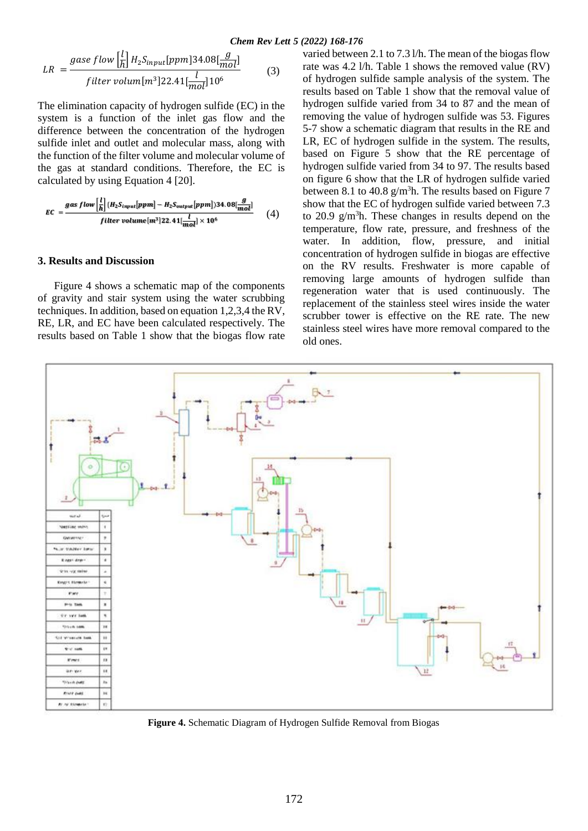$$
LR = \frac{gase flow \left[\frac{l}{h}\right] H_2 S_{input} [ppm] 34.08 \left[\frac{g}{mol}\right]}{filter volume [m^3] 22.41 \left[\frac{l}{mol}\right] 10^6}
$$
(3)

The elimination capacity of hydrogen sulfide (EC) in the system is a function of the inlet gas flow and the difference between the concentration of the hydrogen sulfide inlet and outlet and molecular mass, along with the function of the filter volume and molecular volume of the gas at standard conditions. Therefore, the EC is calculated by using Equation 4 [20].

$$
EC = \frac{gas\ flow\left[\frac{l}{h}\right]\{H_2S_{input}[ppm] - H_2S_{output}[ppm]\}34.08\left[\frac{g}{mol}\right]}{filter\ volume[m^3]22.41\left[\frac{l}{mol}\right] \times 10^6}
$$
 (4)

#### **3. Results and Discussion**

 Figure 4 shows a schematic map of the components of gravity and stair system using the water scrubbing techniques. In addition, based on equation 1,2,3,4 the RV, RE, LR, and EC have been calculated respectively. The results based on Table 1 show that the biogas flow rate

varied between 2.1 to 7.3 l/h. The mean of the biogas flow rate was 4.2 l/h. Table 1 shows the removed value (RV) of hydrogen sulfide sample analysis of the system. The results based on Table 1 show that the removal value of hydrogen sulfide varied from 34 to 87 and the mean of removing the value of hydrogen sulfide was 53. Figures 5-7 show a schematic diagram that results in the RE and LR, EC of hydrogen sulfide in the system. The results, based on Figure 5 show that the RE percentage of hydrogen sulfide varied from 34 to 97. The results based on figure 6 show that the LR of hydrogen sulfide varied between 8.1 to 40.8  $g/m<sup>3</sup>$ h. The results based on Figure 7 show that the EC of hydrogen sulfide varied between 7.3 to 20.9  $g/m<sup>3</sup>$ h. These changes in results depend on the temperature, flow rate, pressure, and freshness of the water. In addition, flow, pressure, and initial concentration of hydrogen sulfide in biogas are effective on the RV results. Freshwater is more capable of removing large amounts of hydrogen sulfide than regeneration water that is used continuously. The replacement of the stainless steel wires inside the water scrubber tower is effective on the RE rate. The new stainless steel wires have more removal compared to the old ones.



**Figure 4.** Schematic Diagram of Hydrogen Sulfide Removal from Biogas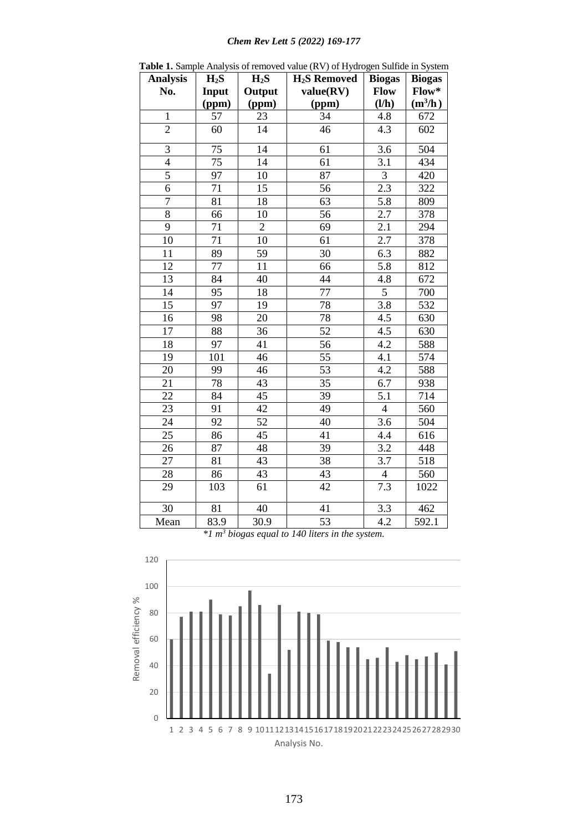# *Chem Rev Lett 5 (2022) 169-177*

| <b>Analysis</b> | $H_2S$          | $H_2S$          | <b>THE T</b> Dample Than you of Temo vea value $(Y, Y)$ of Tryang<br><b>H<sub>2</sub>S</b> Removed | <b>Biogas</b>    | sen buniue in byswim<br><b>Biogas</b> |
|-----------------|-----------------|-----------------|----------------------------------------------------------------------------------------------------|------------------|---------------------------------------|
| No.             | Input           | Output          | value(RV)                                                                                          | <b>Flow</b>      | Flow*                                 |
|                 | (ppm)           | (ppm)           | (ppm)                                                                                              | (I/h)            | $(m^3/h)$                             |
| $\mathbf{1}$    | 57              | 23              | 34                                                                                                 | 4.8              | 672                                   |
| $\overline{2}$  | 60              | 14              | 46                                                                                                 | 4.3              | 602                                   |
| $\overline{3}$  | 75              | 14              | 61                                                                                                 | 3.6              | 504                                   |
| $\overline{4}$  | 75              | 14              | 61                                                                                                 | 3.1              | 434                                   |
| 5               | 97              | 10              | 87                                                                                                 | $\overline{3}$   | 420                                   |
| $\overline{6}$  | 71              | 15              | 56                                                                                                 | 2.3              | 322                                   |
| $\overline{7}$  | 81              | 18              | 63                                                                                                 | 5.8              | 809                                   |
| $\overline{8}$  | 66              | 10              | 56                                                                                                 | $\overline{2.7}$ | 378                                   |
| $\overline{9}$  | 71              | $\overline{2}$  | 69                                                                                                 | $\overline{2.1}$ | 294                                   |
| 10              | 71              | 10              | 61                                                                                                 | 2.7              | 378                                   |
| 11              | 89              | 59              | 30                                                                                                 | 6.3              | 882                                   |
| 12              | 77              | 11              | 66                                                                                                 | 5.8              | 812                                   |
| 13              | 84              | 40              | 44                                                                                                 | 4.8              | 672                                   |
| 14              | 95              | 18              | 77                                                                                                 | $\overline{5}$   | 700                                   |
| 15              | 97              | 19              | 78                                                                                                 | 3.8              | 532                                   |
| 16              | 98              | 20              | 78                                                                                                 | $\overline{4.5}$ | 630                                   |
| 17              | $\overline{88}$ | $\overline{36}$ | $\overline{52}$                                                                                    | 4.5              | 630                                   |
| $\overline{18}$ | 97              | 41              | $\overline{56}$                                                                                    | 4.2              | 588                                   |
| 19              | 101             | 46              | 55                                                                                                 | 4.1              | 574                                   |
| 20              | 99              | 46              | 53                                                                                                 | $\overline{4.2}$ | 588                                   |
| 21              | 78              | 43              | 35                                                                                                 | 6.7              | 938                                   |
| 22              | 84              | 45              | 39                                                                                                 | 5.1              | 714                                   |
| 23              | 91              | 42              | 49                                                                                                 | $\overline{4}$   | 560                                   |
| 24              | 92              | $\overline{52}$ | 40                                                                                                 | $\overline{3.6}$ | 504                                   |
| 25              | 86              | 45              | 41                                                                                                 | 4.4              | 616                                   |
| 26              | 87              | $\overline{48}$ | 39                                                                                                 | $\overline{3.2}$ | 448                                   |
| 27              | 81              | 43              | 38                                                                                                 | 3.7              | 518                                   |
| 28              | 86              | 43              | 43                                                                                                 | $\overline{4}$   | $\overline{560}$                      |
| 29              | 103             | $\overline{61}$ | 42                                                                                                 | 7.3              | 1022                                  |
| $\overline{30}$ | 81              | $\overline{40}$ | 41                                                                                                 | $\overline{3.3}$ | 462                                   |
| Mean            | 83.9            | 30.9            | 53                                                                                                 | 4.2              | 592.1                                 |

**Table 1.** Sample Analysis of removed value (RV) of Hydrogen Sulfide in System

*\*1 m<sup>3</sup> biogas equal to 140 liters in the system.*

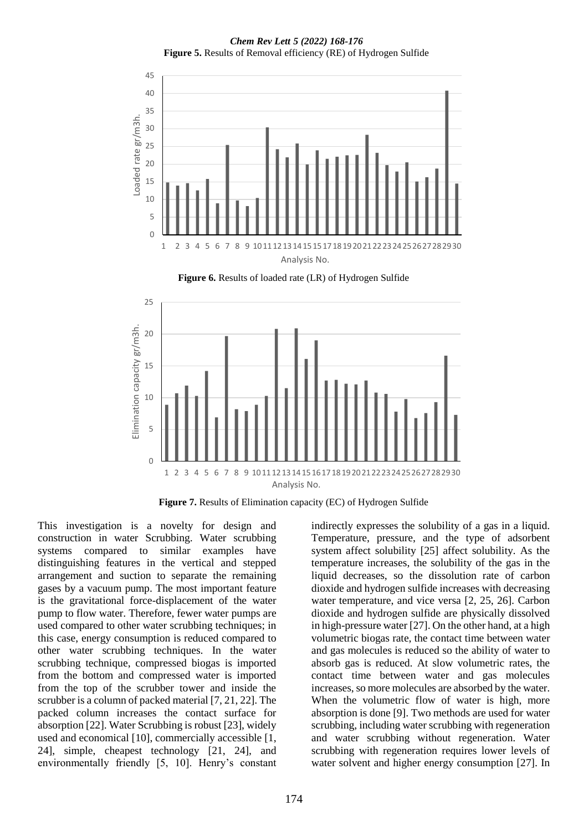*Chem Rev Lett 5 (2022) 168-176* **Figure 5.** Results of Removal efficiency (RE) of Hydrogen Sulfide



**Figure 7.** Results of Elimination capacity (EC) of Hydrogen Sulfide

This investigation is a novelty for design and construction in water Scrubbing. Water scrubbing systems compared to similar examples have distinguishing features in the vertical and stepped arrangement and suction to separate the remaining gases by a vacuum pump. The most important feature is the gravitational force-displacement of the water pump to flow water. Therefore, fewer water pumps are used compared to other water scrubbing techniques; in this case, energy consumption is reduced compared to other water scrubbing techniques. In the water scrubbing technique, compressed biogas is imported from the bottom and compressed water is imported from the top of the scrubber tower and inside the scrubber is a column of packed material [7, 21, 22]. The packed column increases the contact surface for absorption [22]. Water Scrubbing is robust [23], widely used and economical [10], commercially accessible [1, 24], simple, cheapest technology [21, 24], and environmentally friendly [5, 10]. Henry's constant

indirectly expresses the solubility of a gas in a liquid. Temperature, pressure, and the type of adsorbent system affect solubility [25] affect solubility. As the temperature increases, the solubility of the gas in the liquid decreases, so the dissolution rate of carbon dioxide and hydrogen sulfide increases with decreasing water temperature, and vice versa [2, 25, 26]. Carbon dioxide and hydrogen sulfide are physically dissolved in high-pressure water [27]. On the other hand, at a high volumetric biogas rate, the contact time between water and gas molecules is reduced so the ability of water to absorb gas is reduced. At slow volumetric rates, the contact time between water and gas molecules increases, so more molecules are absorbed by the water. When the volumetric flow of water is high, more absorption is done [9]. Two methods are used for water scrubbing, including water scrubbing with regeneration and water scrubbing without regeneration. Water scrubbing with regeneration requires lower levels of water solvent and higher energy consumption [27]. In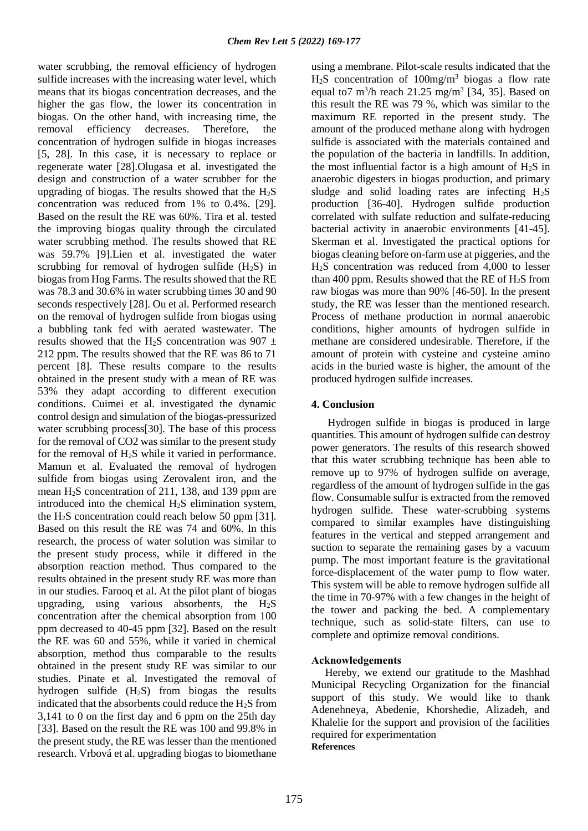water scrubbing, the removal efficiency of hydrogen sulfide increases with the increasing water level, which means that its biogas concentration decreases, and the higher the gas flow, the lower its concentration in biogas. On the other hand, with increasing time, the removal efficiency decreases. Therefore, the concentration of hydrogen sulfide in biogas increases [5, 28]. In this case, it is necessary to replace or regenerate water [28].Olugasa et al. investigated the design and construction of a water scrubber for the upgrading of biogas. The results showed that the  $H_2S$ concentration was reduced from 1% to 0.4%. [29]. Based on the result the RE was 60%. Tira et al. tested the improving biogas quality through the circulated water scrubbing method. The results showed that RE was 59.7% [9].Lien et al. investigated the water scrubbing for removal of hydrogen sulfide  $(H<sub>2</sub>S)$  in biogas from Hog Farms. The results showed that the RE was 78.3 and 30.6% in water scrubbing times 30 and 90 seconds respectively [28]. Ou et al. Performed research on the removal of hydrogen sulfide from biogas using a bubbling tank fed with aerated wastewater. The results showed that the H<sub>2</sub>S concentration was 907  $\pm$ 212 ppm. The results showed that the RE was 86 to 71 percent [8]. These results compare to the results obtained in the present study with a mean of RE was 53% they adapt according to different execution conditions. Cuimei et al. investigated the dynamic control design and simulation of the biogas-pressurized water scrubbing process[30]. The base of this process for the removal of CO2 was similar to the present study for the removal of  $H_2S$  while it varied in performance. Mamun et al. Evaluated the removal of hydrogen sulfide from biogas using Zerovalent iron, and the mean H2S concentration of 211, 138, and 139 ppm are introduced into the chemical  $H<sub>2</sub>S$  elimination system, the  $H_2S$  concentration could reach below 50 ppm [31]. Based on this result the RE was 74 and 60%. In this research, the process of water solution was similar to the present study process, while it differed in the absorption reaction method. Thus compared to the results obtained in the present study RE was more than in our studies. Farooq et al. At the pilot plant of biogas upgrading, using various absorbents, the  $H_2S$ concentration after the chemical absorption from 100 ppm decreased to 40-45 ppm [32]. Based on the result the RE was 60 and 55%, while it varied in chemical absorption, method thus comparable to the results obtained in the present study RE was similar to our studies. Pinate et al. Investigated the removal of hydrogen sulfide (H2S) from biogas the results indicated that the absorbents could reduce the  $H_2S$  from 3,141 to 0 on the first day and 6 ppm on the 25th day [33]. Based on the result the RE was 100 and 99.8% in the present study, the RE was lesser than the mentioned research. Vrbová et al. upgrading biogas to biomethane

using a membrane. Pilot-scale results indicated that the  $H<sub>2</sub>S$  concentration of 100mg/m<sup>3</sup> biogas a flow rate equal to7  $m^3/h$  reach 21.25 mg/m<sup>3</sup> [34, 35]. Based on this result the RE was 79 %, which was similar to the maximum RE reported in the present study. The amount of the produced methane along with hydrogen sulfide is associated with the materials contained and the population of the bacteria in landfills. In addition, the most influential factor is a high amount of  $H_2S$  in anaerobic digesters in biogas production, and primary sludge and solid loading rates are infecting  $H_2S$ production [36-40]. Hydrogen sulfide production correlated with sulfate reduction and sulfate-reducing bacterial activity in anaerobic environments [41-45]. Skerman et al. Investigated the practical options for biogas cleaning before on-farm use at piggeries, and the H2S concentration was reduced from 4,000 to lesser than 400 ppm. Results showed that the RE of  $H<sub>2</sub>S$  from raw biogas was more than 90% [46-50]. In the present study, the RE was lesser than the mentioned research. Process of methane production in normal anaerobic conditions, higher amounts of hydrogen sulfide in methane are considered undesirable. Therefore, if the amount of protein with cysteine and cysteine amino acids in the buried waste is higher, the amount of the produced hydrogen sulfide increases.

### **4. Conclusion**

 Hydrogen sulfide in biogas is produced in large quantities. This amount of hydrogen sulfide can destroy power generators. The results of this research showed that this water scrubbing technique has been able to remove up to 97% of hydrogen sulfide on average, regardless of the amount of hydrogen sulfide in the gas flow. Consumable sulfur is extracted from the removed hydrogen sulfide. These water-scrubbing systems compared to similar examples have distinguishing features in the vertical and stepped arrangement and suction to separate the remaining gases by a vacuum pump. The most important feature is the gravitational force-displacement of the water pump to flow water. This system will be able to remove hydrogen sulfide all the time in 70-97% with a few changes in the height of the tower and packing the bed. A complementary technique, such as solid-state filters, can use to complete and optimize removal conditions.

### **Acknowledgements**

 Hereby, we extend our gratitude to the Mashhad Municipal Recycling Organization for the financial support of this study. We would like to thank Adenehneya, Abedenie, Khorshedie, Alizadeh, and Khalelie for the support and provision of the facilities required for experimentation **References**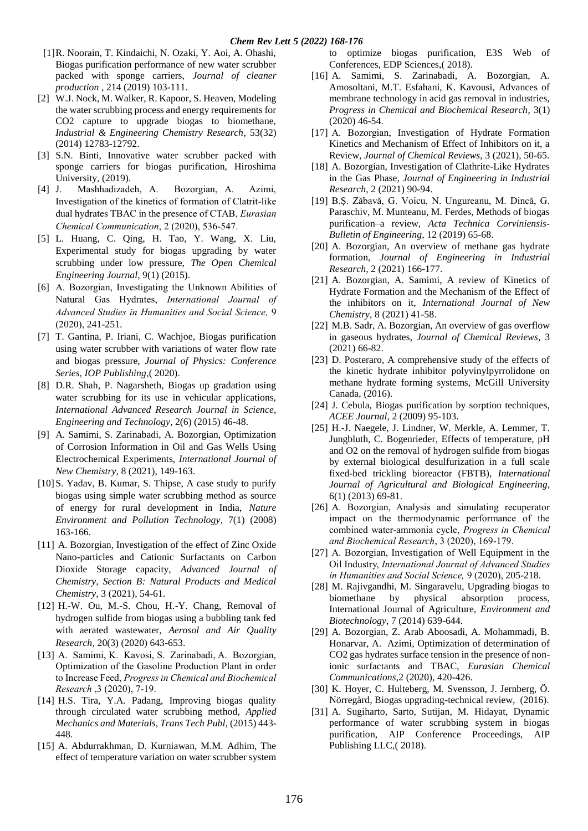- [1]R. Noorain, T. Kindaichi, N. Ozaki, Y. Aoi, A. Ohashi, Biogas purification performance of new water scrubber packed with sponge carriers, *Journal of cleaner production* , 214 (2019) 103-111.
- [2] W.J. Nock, M. Walker, R. Kapoor, S. Heaven, Modeling the water scrubbing process and energy requirements for CO2 capture to upgrade biogas to biomethane, *Industrial & Engineering Chemistry Research*, 53(32) (2014) 12783-12792.
- [3] S.N. Binti, Innovative water scrubber packed with sponge carriers for biogas purification, Hiroshima University, (2019).
- [4] J. Mashhadizadeh, A. Bozorgian, A. Azimi, Investigation of the kinetics of formation of Clatrit-like dual hydrates TBAC in the presence of CTAB, *Eurasian Chemical Communication*, 2 (2020), 536-547.
- [5] L. Huang, C. Qing, H. Tao, Y. Wang, X. Liu, Experimental study for biogas upgrading by water scrubbing under low pressure, *The Open Chemical Engineering Journal*, 9(1) (2015).
- [6] A. Bozorgian, Investigating the Unknown Abilities of Natural Gas Hydrates, *International Journal of Advanced Studies in Humanities and Social Science,* 9 (2020), 241-251.
- [7] T. Gantina, P. Iriani, C. Wachjoe, Biogas purification using water scrubber with variations of water flow rate and biogas pressure, *Journal of Physics: Conference Series, IOP Publishing*,( 2020).
- [8] D.R. Shah, P. Nagarsheth, Biogas up gradation using water scrubbing for its use in vehicular applications, *International Advanced Research Journal in Science, Engineering and Technology*, 2(6) (2015) 46-48.
- [9] A. Samimi, S. Zarinabadi, A. Bozorgian, Optimization of Corrosion Information in Oil and Gas Wells Using Electrochemical Experiments, *International Journal of New Chemistry*, 8 (2021), 149-163.
- [10] S. Yadav, B. Kumar, S. Thipse, A case study to purify biogas using simple water scrubbing method as source of energy for rural development in India, *Nature Environment and Pollution Technology,* 7(1) (2008) 163-166.
- [11] A. Bozorgian, Investigation of the effect of Zinc Oxide Nano-particles and Cationic Surfactants on Carbon Dioxide Storage capacity, *Advanced Journal of Chemistry, Section B: Natural Products and Medical Chemistry,* 3 (2021), 54-61.
- [12] H.-W. Ou, M.-S. Chou, H.-Y. Chang, Removal of hydrogen sulfide from biogas using a bubbling tank fed with aerated wastewater, *Aerosol and Air Quality Research,* 20(3) (2020) 643-653.
- [13] A. Samimi, K. Kavosi, S. Zarinabadi, A. Bozorgian, Optimization of the Gasoline Production Plant in order to Increase Feed, *Progress in Chemical and Biochemical Research* ,3 (2020), 7-19.
- [14] H.S. Tira, Y.A. Padang, Improving biogas quality through circulated water scrubbing method, *Applied Mechanics and Materials, Trans Tech Publ*, (2015) 443- 448.
- [15] A. Abdurrakhman, D. Kurniawan, M.M. Adhim, The effect of temperature variation on water scrubber system

to optimize biogas purification, E3S Web of Conferences, EDP Sciences,( 2018).

- [16] A. Samimi, S. Zarinabadi, A. Bozorgian, A. Amosoltani, M.T. Esfahani, K. Kavousi, Advances of membrane technology in acid gas removal in industries, *Progress in Chemical and Biochemical Research*, 3(1) (2020) 46-54.
- [17] A. Bozorgian, Investigation of Hydrate Formation Kinetics and Mechanism of Effect of Inhibitors on it, a Review, *Journal of Chemical Reviews*, 3 (2021), 50-65.
- [18] A. Bozorgian, Investigation of Clathrite-Like Hydrates in the Gas Phase, *Journal of Engineering in Industrial Research*, 2 (2021) 90-94.
- [19] B.Ş. Zăbavă, G. Voicu, N. Ungureanu, M. Dincă, G. Paraschiv, M. Munteanu, M. Ferdes, Methods of biogas purification–a review, *Acta Technica Corviniensis-Bulletin of Engineering*, 12 (2019) 65-68.
- [20] A. Bozorgian, An overview of methane gas hydrate formation, *Journal of Engineering in Industrial Research*, 2 (2021) 166-177.
- [21] A. Bozorgian, A. Samimi, A review of Kinetics of Hydrate Formation and the Mechanism of the Effect of the inhibitors on it, *International Journal of New Chemistry*, 8 (2021) 41-58.
- [22] M.B. Sadr, A. Bozorgian, An overview of gas overflow in gaseous hydrates, *Journal of Chemical Reviews*, 3 (2021) 66-82.
- [23] D. Posteraro, A comprehensive study of the effects of the kinetic hydrate inhibitor polyvinylpyrrolidone on methane hydrate forming systems, McGill University Canada, (2016).
- [24] J. Cebula, Biogas purification by sorption techniques, *ACEE Journal*, 2 (2009) 95-103.
- [25] H.-J. Naegele, J. Lindner, W. Merkle, A. Lemmer, T. Jungbluth, C. Bogenrieder, Effects of temperature, pH and O2 on the removal of hydrogen sulfide from biogas by external biological desulfurization in a full scale fixed-bed trickling bioreactor (FBTB), *International Journal of Agricultural and Biological Engineering*, 6(1) (2013) 69-81.
- [26] A. Bozorgian, Analysis and simulating recuperator impact on the thermodynamic performance of the combined water-ammonia cycle, *Progress in Chemical and Biochemical Research*, 3 (2020), 169-179.
- [27] A. Bozorgian, Investigation of Well Equipment in the Oil Industry, *International Journal of Advanced Studies in Humanities and Social Science,* 9 (2020), 205-218.
- [28] M. Rajivgandhi, M. Singaravelu, Upgrading biogas to biomethane by physical absorption process, International Journal of Agriculture, *Environment and Biotechnology*, 7 (2014) 639-644.
- [29] A. Bozorgian, Z. Arab Aboosadi, A. Mohammadi, B. Honarvar, A. Azimi, Optimization of determination of CO2 gas hydrates surface tension in the presence of nonionic surfactants and TBAC, *Eurasian Chemical Communications*,2 (2020), 420-426.
- [30] K. Hoyer, C. Hulteberg, M. Svensson, J. Jernberg, Ö. Nörregård, Biogas upgrading-technical review, (2016).
- [31] A. Sugiharto, Sarto, Sutijan, M. Hidayat, Dynamic performance of water scrubbing system in biogas purification, AIP Conference Proceedings, AIP Publishing LLC,( 2018).